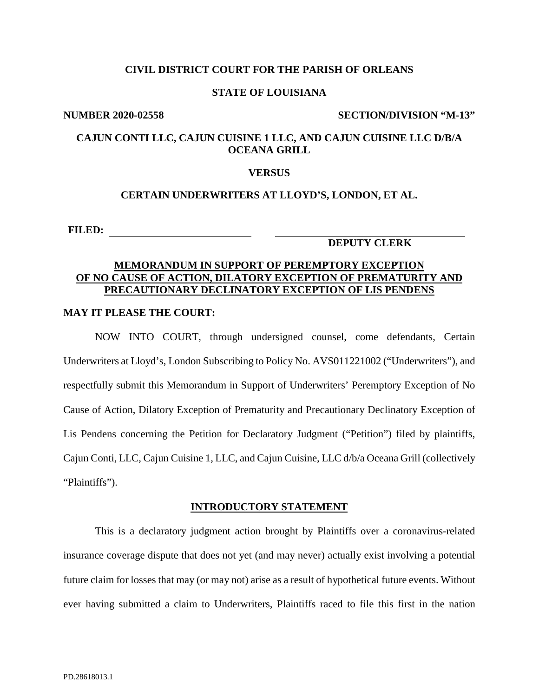## **CIVIL DISTRICT COURT FOR THE PARISH OF ORLEANS**

## **STATE OF LOUISIANA**

#### **NUMBER 2020-02558 SECTION/DIVISION "M-13"**

# **CAJUN CONTI LLC, CAJUN CUISINE 1 LLC, AND CAJUN CUISINE LLC D/B/A OCEANA GRILL**

### **VERSUS**

## **CERTAIN UNDERWRITERS AT LLOYD'S, LONDON, ET AL.**

**FILED:**

## **DEPUTY CLERK**

# **MEMORANDUM IN SUPPORT OF PEREMPTORY EXCEPTION OF NO CAUSE OF ACTION, DILATORY EXCEPTION OF PREMATURITY AND PRECAUTIONARY DECLINATORY EXCEPTION OF LIS PENDENS**

## **MAY IT PLEASE THE COURT:**

NOW INTO COURT, through undersigned counsel, come defendants, Certain Underwriters at Lloyd's, London Subscribing to Policy No. AVS011221002 ("Underwriters"), and respectfully submit this Memorandum in Support of Underwriters' Peremptory Exception of No Cause of Action, Dilatory Exception of Prematurity and Precautionary Declinatory Exception of Lis Pendens concerning the Petition for Declaratory Judgment ("Petition") filed by plaintiffs, Cajun Conti, LLC, Cajun Cuisine 1, LLC, and Cajun Cuisine, LLC d/b/a Oceana Grill (collectively "Plaintiffs").

#### **INTRODUCTORY STATEMENT**

This is a declaratory judgment action brought by Plaintiffs over a coronavirus-related insurance coverage dispute that does not yet (and may never) actually exist involving a potential future claim for losses that may (or may not) arise as a result of hypothetical future events. Without ever having submitted a claim to Underwriters, Plaintiffs raced to file this first in the nation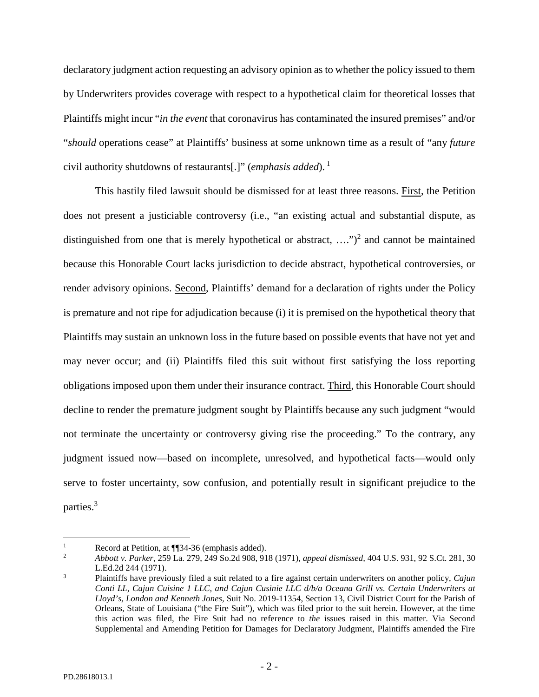declaratory judgment action requesting an advisory opinion as to whether the policy issued to them by Underwriters provides coverage with respect to a hypothetical claim for theoretical losses that Plaintiffs might incur "*in the event* that coronavirus has contaminated the insured premises" and/or "*should* operations cease" at Plaintiffs' business at some unknown time as a result of "any *future* civil authority shutdowns of restaurants[.]" (*emphasis added*). [1](#page-1-0)

This hastily filed lawsuit should be dismissed for at least three reasons. First, the Petition does not present a justiciable controversy (i.e., "an existing actual and substantial dispute, as distinguished from one that is merely hypothetical or abstract,  $\dots$ ")<sup>[2](#page-1-1)</sup> and cannot be maintained because this Honorable Court lacks jurisdiction to decide abstract, hypothetical controversies, or render advisory opinions. Second, Plaintiffs' demand for a declaration of rights under the Policy is premature and not ripe for adjudication because (i) it is premised on the hypothetical theory that Plaintiffs may sustain an unknown loss in the future based on possible events that have not yet and may never occur; and (ii) Plaintiffs filed this suit without first satisfying the loss reporting obligations imposed upon them under their insurance contract. Third, this Honorable Court should decline to render the premature judgment sought by Plaintiffs because any such judgment "would not terminate the uncertainty or controversy giving rise the proceeding." To the contrary, any judgment issued now—based on incomplete, unresolved, and hypothetical facts—would only serve to foster uncertainty, sow confusion, and potentially result in significant prejudice to the parties.<sup>[3](#page-1-2)</sup>

<span id="page-1-1"></span><span id="page-1-0"></span>Pecord at Petition, at  $\P$  34-36 (emphasis added).

<sup>2</sup> *Abbott v. Parker*, 259 La. 279, 249 So.2d 908, 918 (1971), *appeal dismissed,* 404 U.S. 931, 92 S.Ct. 281, 30 L.Ed.2d 244 (1971).

<span id="page-1-2"></span><sup>3</sup> Plaintiffs have previously filed a suit related to a fire against certain underwriters on another policy, *Cajun Conti LL, Cajun Cuisine 1 LLC, and Cajun Cusinie LLC d/b/a Oceana Grill vs. Certain Underwriters at Lloyd's, London and Kenneth Jones,* Suit No. 2019-11354, Section 13, Civil District Court for the Parish of Orleans, State of Louisiana ("the Fire Suit"), which was filed prior to the suit herein. However, at the time this action was filed, the Fire Suit had no reference to *the* issues raised in this matter. Via Second Supplemental and Amending Petition for Damages for Declaratory Judgment, Plaintiffs amended the Fire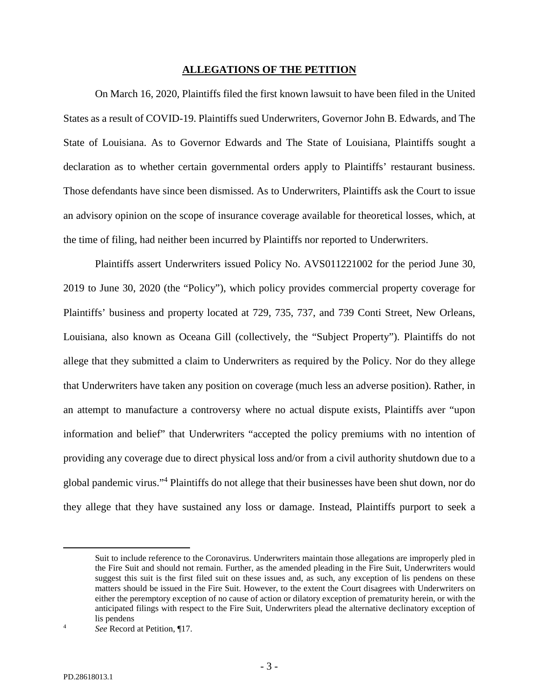## **ALLEGATIONS OF THE PETITION**

On March 16, 2020, Plaintiffs filed the first known lawsuit to have been filed in the United States as a result of COVID-19. Plaintiffs sued Underwriters, Governor John B. Edwards, and The State of Louisiana. As to Governor Edwards and The State of Louisiana, Plaintiffs sought a declaration as to whether certain governmental orders apply to Plaintiffs' restaurant business. Those defendants have since been dismissed. As to Underwriters, Plaintiffs ask the Court to issue an advisory opinion on the scope of insurance coverage available for theoretical losses, which, at the time of filing, had neither been incurred by Plaintiffs nor reported to Underwriters.

Plaintiffs assert Underwriters issued Policy No. AVS011221002 for the period June 30, 2019 to June 30, 2020 (the "Policy"), which policy provides commercial property coverage for Plaintiffs' business and property located at 729, 735, 737, and 739 Conti Street, New Orleans, Louisiana, also known as Oceana Gill (collectively, the "Subject Property"). Plaintiffs do not allege that they submitted a claim to Underwriters as required by the Policy. Nor do they allege that Underwriters have taken any position on coverage (much less an adverse position). Rather, in an attempt to manufacture a controversy where no actual dispute exists, Plaintiffs aver "upon information and belief" that Underwriters "accepted the policy premiums with no intention of providing any coverage due to direct physical loss and/or from a civil authority shutdown due to a global pandemic virus."<sup>4</sup> Plaintiffs do not allege that their businesses have been shut down, nor do they allege that they have sustained any loss or damage. Instead, Plaintiffs purport to seek a

Suit to include reference to the Coronavirus. Underwriters maintain those allegations are improperly pled in the Fire Suit and should not remain. Further, as the amended pleading in the Fire Suit, Underwriters would suggest this suit is the first filed suit on these issues and, as such, any exception of lis pendens on these matters should be issued in the Fire Suit. However, to the extent the Court disagrees with Underwriters on either the peremptory exception of no cause of action or dilatory exception of prematurity herein, or with the anticipated filings with respect to the Fire Suit, Underwriters plead the alternative declinatory exception of lis pendens

<span id="page-2-0"></span><sup>4</sup> *See* Record at Petition, ¶17.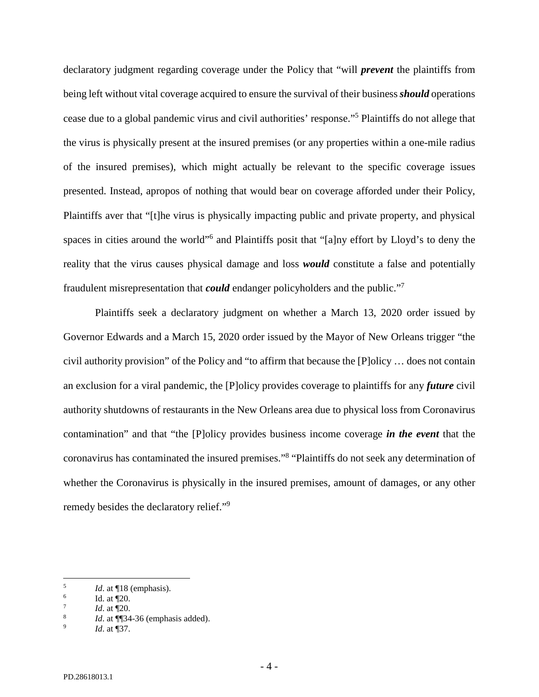declaratory judgment regarding coverage under the Policy that "will *prevent* the plaintiffs from being left without vital coverage acquired to ensure the survival of their business *should* operations cease due to a global pandemic virus and civil authorities' response."<sup>5</sup> Plaintiffs do not allege that the virus is physically present at the insured premises (or any properties within a one-mile radius of the insured premises), which might actually be relevant to the specific coverage issues presented. Instead, apropos of nothing that would bear on coverage afforded under their Policy, Plaintiffs aver that "[t]he virus is physically impacting public and private property, and physical spaces in cities around the world"<sup>[6](#page-3-1)</sup> and Plaintiffs posit that "[a]ny effort by Lloyd's to deny the reality that the virus causes physical damage and loss *would* constitute a false and potentially fraudulent misrepresentation that *could* endanger policyholders and the public."[7](#page-3-2)

Plaintiffs seek a declaratory judgment on whether a March 13, 2020 order issued by Governor Edwards and a March 15, 2020 order issued by the Mayor of New Orleans trigger "the civil authority provision" of the Policy and "to affirm that because the [P]olicy … does not contain an exclusion for a viral pandemic, the [P]olicy provides coverage to plaintiffs for any *future* civil authority shutdowns of restaurants in the New Orleans area due to physical loss from Coronavirus contamination" and that "the [P]olicy provides business income coverage *in the event* that the coronavirus has contaminated the insured premises."<sup>[8](#page-3-3)</sup> "Plaintiffs do not seek any determination of whether the Coronavirus is physically in the insured premises, amount of damages, or any other remedy besides the declaratory relief."[9](#page-3-4)

<span id="page-3-1"></span><span id="page-3-0"></span><sup>5</sup> *Id*. at ¶18 (emphasis).

<span id="page-3-2"></span><sup>6</sup> Id. at ¶20.

<span id="page-3-3"></span><sup>7</sup> *Id*. at ¶20.

<span id="page-3-4"></span><sup>8</sup> *Id*. at ¶¶34-36 (emphasis added).

<sup>9</sup> *Id*. at ¶37.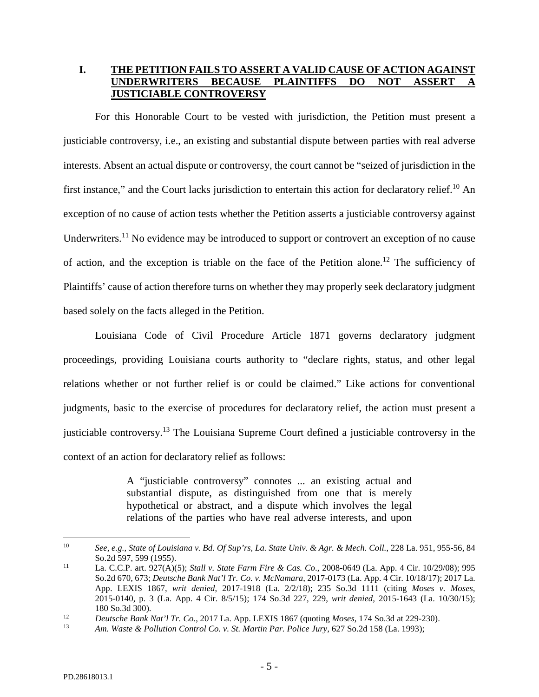# **I. THE PETITION FAILS TO ASSERT A VALID CAUSE OF ACTION AGAINST**  UNDERWRITERS BECAUSE PLAINTIFFS DO NOT ASSERT **JUSTICIABLE CONTROVERSY**

For this Honorable Court to be vested with jurisdiction, the Petition must present a justiciable controversy, i.e., an existing and substantial dispute between parties with real adverse interests. Absent an actual dispute or controversy, the court cannot be "seized of jurisdiction in the first instance," and the Court lacks jurisdiction to entertain this action for declaratory relief.<sup>[10](#page-4-0)</sup> An exception of no cause of action tests whether the Petition asserts a justiciable controversy against Underwriters.<sup>[11](#page-4-1)</sup> No evidence may be introduced to support or controvert an exception of no cause of action, and the exception is triable on the face of the Petition alone.<sup>[12](#page-4-2)</sup> The sufficiency of Plaintiffs' cause of action therefore turns on whether they may properly seek declaratory judgment based solely on the facts alleged in the Petition.

Louisiana Code of Civil Procedure Article 1871 governs declaratory judgment proceedings, providing Louisiana courts authority to "declare rights, status, and other legal relations whether or not further relief is or could be claimed." Like actions for conventional judgments, basic to the exercise of procedures for declaratory relief, the action must present a justiciable controversy.[13](#page-4-3) The Louisiana Supreme Court defined a justiciable controversy in the context of an action for declaratory relief as follows:

> A "justiciable controversy" connotes ... an existing actual and substantial dispute, as distinguished from one that is merely hypothetical or abstract, and a dispute which involves the legal relations of the parties who have real adverse interests, and upon

<span id="page-4-0"></span><sup>10</sup> *See*, *e.g., State of Louisiana v. Bd. Of Sup'rs, La. State Univ. & Agr. & Mech. Coll.*, 228 La. 951, 955-56, 84 So.2d 597, 599 (1955).

<span id="page-4-1"></span><sup>11</sup> La. C.C.P. art. 927(A)(5); *Stall v. State Farm Fire & Cas. Co*., 2008-0649 (La. App. 4 Cir. 10/29/08); 995 So.2d 670, 673; *Deutsche Bank Nat'l Tr. Co. v. McNamara*, 2017-0173 (La. App. 4 Cir. 10/18/17); 2017 La. App. LEXIS 1867, *writ denied*, 2017-1918 (La. 2/2/18); 235 So.3d 1111 (citing *Moses v. Moses*, 2015-0140, p. 3 (La. App. 4 Cir. 8/5/15); 174 So.3d 227, 229, *writ denied,* 2015-1643 (La. 10/30/15); 180 So.3d 300).

<span id="page-4-3"></span><span id="page-4-2"></span><sup>12</sup> *Deutsche Bank Nat'l Tr. Co.*, 2017 La. App. LEXIS 1867 (quoting *Moses*, 174 So.3d at 229-230).

<sup>13</sup> *Am. Waste & Pollution Control Co. v. St. Martin Par. Police Jury*, 627 So.2d 158 (La. 1993);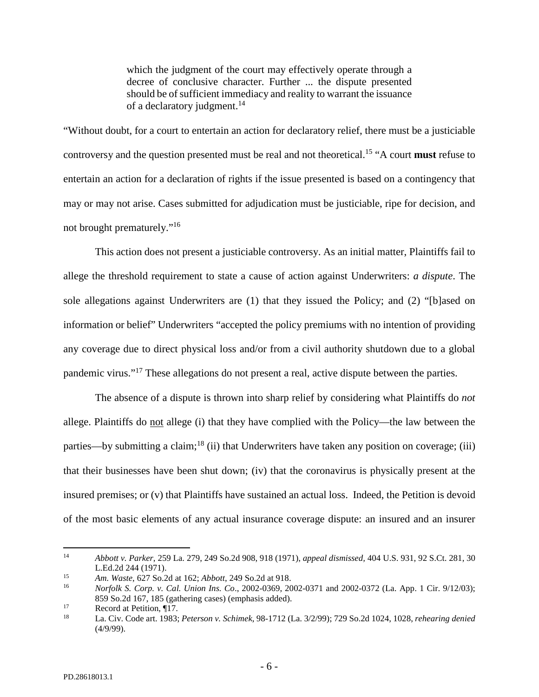which the judgment of the court may effectively operate through a decree of conclusive character. Further ... the dispute presented should be of sufficient immediacy and reality to warrant the issuance of a declaratory judgment.<sup>[14](#page-5-0)</sup>

"Without doubt, for a court to entertain an action for declaratory relief, there must be a justiciable controversy and the question presented must be real and not theoretical.[15](#page-5-1) "A court **must** refuse to entertain an action for a declaration of rights if the issue presented is based on a contingency that may or may not arise. Cases submitted for adjudication must be justiciable, ripe for decision, and not brought prematurely."[16](#page-5-2)

This action does not present a justiciable controversy. As an initial matter, Plaintiffs fail to allege the threshold requirement to state a cause of action against Underwriters: *a dispute*. The sole allegations against Underwriters are (1) that they issued the Policy; and (2) "[b]ased on information or belief" Underwriters "accepted the policy premiums with no intention of providing any coverage due to direct physical loss and/or from a civil authority shutdown due to a global pandemic virus."[17](#page-5-3) These allegations do not present a real, active dispute between the parties.

The absence of a dispute is thrown into sharp relief by considering what Plaintiffs do *not* allege. Plaintiffs do not allege (i) that they have complied with the Policy—the law between the parties—by submitting a claim;<sup>[18](#page-5-4)</sup> (ii) that Underwriters have taken any position on coverage; (iii) that their businesses have been shut down; (iv) that the coronavirus is physically present at the insured premises; or (v) that Plaintiffs have sustained an actual loss. Indeed, the Petition is devoid of the most basic elements of any actual insurance coverage dispute: an insured and an insurer

<span id="page-5-0"></span><sup>14</sup> *Abbott v. Parker*, 259 La. 279, 249 So.2d 908, 918 (1971), *appeal dismissed,* 404 U.S. 931, 92 S.Ct. 281, 30 L.Ed.2d 244 (1971).

<span id="page-5-2"></span><span id="page-5-1"></span><sup>15</sup> *Am. Waste*, 627 So.2d at 162; *Abbott*, 249 So.2d at 918.

<sup>16</sup> *Norfolk S. Corp. v. Cal. Union Ins. Co*., 2002-0369, 2002-0371 and 2002-0372 (La. App. 1 Cir. 9/12/03); 859 So.2d 167, 185 (gathering cases) (emphasis added).

<span id="page-5-4"></span><span id="page-5-3"></span><sup>&</sup>lt;sup>17</sup> Record at Petition,  $\P$ <sup>17</sup>.

<sup>18</sup> La. Civ. Code art. 1983; *Peterson v. Schimek*, 98-1712 (La. 3/2/99); 729 So.2d 1024, 1028, *rehearing denied*  (4/9/99).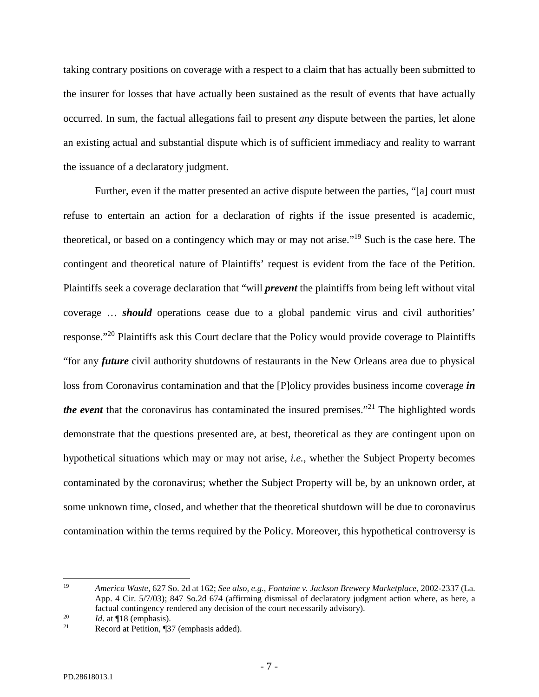taking contrary positions on coverage with a respect to a claim that has actually been submitted to the insurer for losses that have actually been sustained as the result of events that have actually occurred. In sum, the factual allegations fail to present *any* dispute between the parties, let alone an existing actual and substantial dispute which is of sufficient immediacy and reality to warrant the issuance of a declaratory judgment.

Further, even if the matter presented an active dispute between the parties, "[a] court must refuse to entertain an action for a declaration of rights if the issue presented is academic, theoretical, or based on a contingency which may or may not arise."[19](#page-6-0) Such is the case here. The contingent and theoretical nature of Plaintiffs' request is evident from the face of the Petition. Plaintiffs seek a coverage declaration that "will *prevent* the plaintiffs from being left without vital coverage … *should* operations cease due to a global pandemic virus and civil authorities' response."<sup>[20](#page-6-1)</sup> Plaintiffs ask this Court declare that the Policy would provide coverage to Plaintiffs "for any *future* civil authority shutdowns of restaurants in the New Orleans area due to physical loss from Coronavirus contamination and that the [P]olicy provides business income coverage *in the event* that the coronavirus has contaminated the insured premises."<sup>[21](#page-6-2)</sup> The highlighted words demonstrate that the questions presented are, at best, theoretical as they are contingent upon on hypothetical situations which may or may not arise, *i.e.,* whether the Subject Property becomes contaminated by the coronavirus; whether the Subject Property will be, by an unknown order, at some unknown time, closed, and whether that the theoretical shutdown will be due to coronavirus contamination within the terms required by the Policy. Moreover, this hypothetical controversy is

<span id="page-6-0"></span><sup>19</sup> *America Waste*, 627 So. 2d at 162; *See also, e.g., Fontaine v. Jackson Brewery Marketplace*, 2002-2337 (La. App. 4 Cir. 5/7/03); 847 So.2d 674 (affirming dismissal of declaratory judgment action where, as here, a factual contingency rendered any decision of the court necessarily advisory).

<span id="page-6-2"></span><span id="page-6-1"></span><sup>&</sup>lt;sup>20</sup> *Id.* at ¶18 (emphasis).

Record at Petition, ¶37 (emphasis added).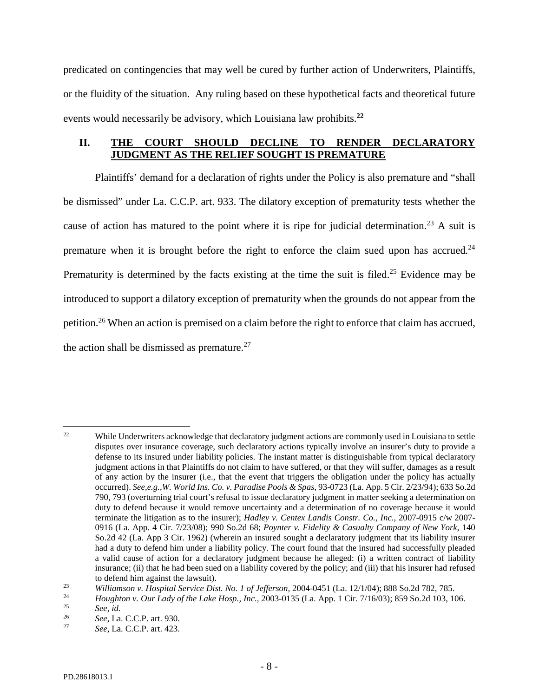predicated on contingencies that may well be cured by further action of Underwriters, Plaintiffs, or the fluidity of the situation. Any ruling based on these hypothetical facts and theoretical future events would necessarily be advisory, which Louisiana law prohibits.**[22](#page-7-0)**

# **II. THE COURT SHOULD DECLINE TO RENDER DECLARATORY JUDGMENT AS THE RELIEF SOUGHT IS PREMATURE**

Plaintiffs' demand for a declaration of rights under the Policy is also premature and "shall be dismissed" under La. C.C.P. art. 933. The dilatory exception of prematurity tests whether the cause of action has matured to the point where it is ripe for judicial determination.<sup>[23](#page-7-1)</sup> A suit is premature when it is brought before the right to enforce the claim sued upon has accrued.<sup>[24](#page-7-2)</sup> Prematurity is determined by the facts existing at the time the suit is filed.<sup>[25](#page-7-3)</sup> Evidence may be introduced to support a dilatory exception of prematurity when the grounds do not appear from the petition.[26](#page-7-4) When an action is premised on a claim before the right to enforce that claim has accrued, the action shall be dismissed as premature. $27$ 

<span id="page-7-0"></span><sup>&</sup>lt;sup>22</sup> While Underwriters acknowledge that declaratory judgment actions are commonly used in Louisiana to settle disputes over insurance coverage, such declaratory actions typically involve an insurer's duty to provide a defense to its insured under liability policies. The instant matter is distinguishable from typical declaratory judgment actions in that Plaintiffs do not claim to have suffered, or that they will suffer, damages as a result of any action by the insurer (i.e., that the event that triggers the obligation under the policy has actually occurred). *See,e.g.,W. World Ins. Co. v. Paradise Pools & Spas*, 93-0723 (La. App. 5 Cir. 2/23/94); 633 So.2d 790, 793 (overturning trial court's refusal to issue declaratory judgment in matter seeking a determination on duty to defend because it would remove uncertainty and a determination of no coverage because it would terminate the litigation as to the insurer); *Hadley v. Centex Landis Constr. Co., Inc.*, 2007-0915 c/w 2007- 0916 (La. App. 4 Cir. 7/23/08); 990 So.2d 68; *Poynter v. Fidelity & Casualty Company of New York*, 140 So.2d 42 (La. App 3 Cir. 1962) (wherein an insured sought a declaratory judgment that its liability insurer had a duty to defend him under a liability policy. The court found that the insured had successfully pleaded a valid cause of action for a declaratory judgment because he alleged: (i) a written contract of liability insurance; (ii) that he had been sued on a liability covered by the policy; and (iii) that his insurer had refused to defend him against the lawsuit).

<span id="page-7-2"></span><span id="page-7-1"></span><sup>&</sup>lt;sup>23</sup> *Williamson v. Hospital Service Dist. No. 1 of Jefferson,* 2004-0451 (La. 12/1/04); 888 So.2d 782, 785.<br><sup>24</sup> *Houghton v. Our Lady of the Lake Hospital* 2003-0135 (La. App. 1 Cir. 7/16/03): 850 So.2d 103, 10

<span id="page-7-3"></span><sup>&</sup>lt;sup>24</sup> *Houghton v. Our Lady of the Lake Hosp., Inc.,* 2003-0135 (La. App. 1 Cir. 7/16/03); 859 So.2d 103, 106.<br><sup>25</sup>

<span id="page-7-4"></span><sup>25</sup> *See, id.*

<span id="page-7-5"></span><sup>&</sup>lt;sup>26</sup> *See*, La. C.C.P. art. 930.

<sup>27</sup> *See,* La. C.C.P. art. 423.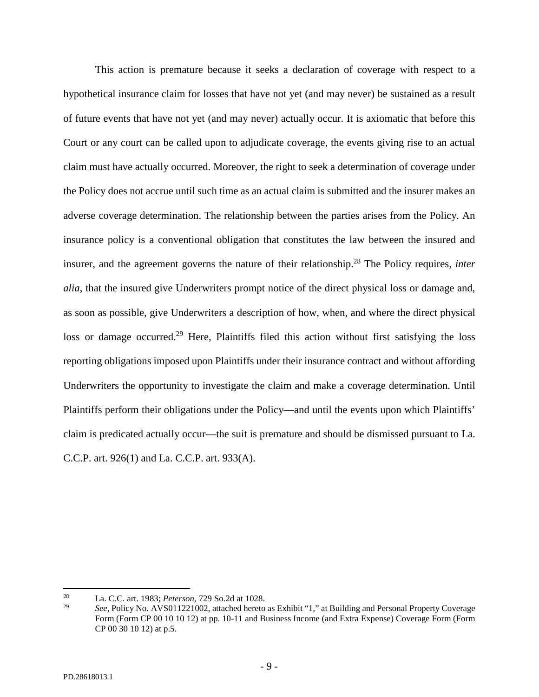This action is premature because it seeks a declaration of coverage with respect to a hypothetical insurance claim for losses that have not yet (and may never) be sustained as a result of future events that have not yet (and may never) actually occur. It is axiomatic that before this Court or any court can be called upon to adjudicate coverage, the events giving rise to an actual claim must have actually occurred. Moreover, the right to seek a determination of coverage under the Policy does not accrue until such time as an actual claim is submitted and the insurer makes an adverse coverage determination. The relationship between the parties arises from the Policy. An insurance policy is a conventional obligation that constitutes the law between the insured and insurer, and the agreement governs the nature of their relationship.<sup>[28](#page-8-0)</sup> The Policy requires, *inter alia*, that the insured give Underwriters prompt notice of the direct physical loss or damage and, as soon as possible, give Underwriters a description of how, when, and where the direct physical loss or damage occurred.<sup>[29](#page-8-1)</sup> Here, Plaintiffs filed this action without first satisfying the loss reporting obligations imposed upon Plaintiffs under their insurance contract and without affording Underwriters the opportunity to investigate the claim and make a coverage determination. Until Plaintiffs perform their obligations under the Policy—and until the events upon which Plaintiffs' claim is predicated actually occur—the suit is premature and should be dismissed pursuant to La. C.C.P. art. 926(1) and La. C.C.P. art. 933(A).

<span id="page-8-0"></span><sup>28</sup> La. C.C. art. 1983; *Peterson,* 729 So.2d at 1028.

<span id="page-8-1"></span><sup>29</sup> *See*, Policy No. AVS011221002, attached hereto as Exhibit "1," at Building and Personal Property Coverage Form (Form CP 00 10 10 12) at pp. 10-11 and Business Income (and Extra Expense) Coverage Form (Form CP 00 30 10 12) at p.5.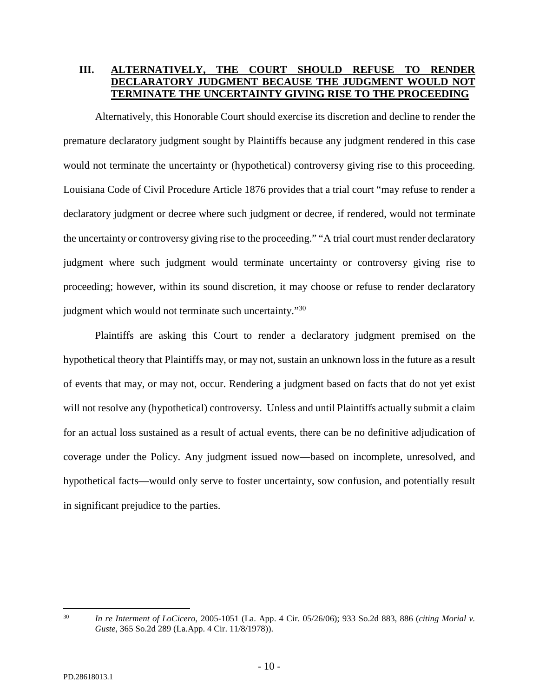# **III. ALTERNATIVELY, THE COURT SHOULD REFUSE TO RENDER DECLARATORY JUDGMENT BECAUSE THE JUDGMENT WOULD NOT TERMINATE THE UNCERTAINTY GIVING RISE TO THE PROCEEDING**

Alternatively, this Honorable Court should exercise its discretion and decline to render the premature declaratory judgment sought by Plaintiffs because any judgment rendered in this case would not terminate the uncertainty or (hypothetical) controversy giving rise to this proceeding. Louisiana Code of Civil Procedure Article 1876 provides that a trial court "may refuse to render a declaratory judgment or decree where such judgment or decree, if rendered, would not terminate the uncertainty or controversy giving rise to the proceeding." "A trial court must render declaratory judgment where such judgment would terminate uncertainty or controversy giving rise to proceeding; however, within its sound discretion, it may choose or refuse to render declaratory judgment which would not terminate such uncertainty."<sup>[30](#page-9-0)</sup>

Plaintiffs are asking this Court to render a declaratory judgment premised on the hypothetical theory that Plaintiffs may, or may not, sustain an unknown loss in the future as a result of events that may, or may not, occur. Rendering a judgment based on facts that do not yet exist will not resolve any (hypothetical) controversy. Unless and until Plaintiffs actually submit a claim for an actual loss sustained as a result of actual events, there can be no definitive adjudication of coverage under the Policy. Any judgment issued now—based on incomplete, unresolved, and hypothetical facts—would only serve to foster uncertainty, sow confusion, and potentially result in significant prejudice to the parties.

<span id="page-9-0"></span><sup>30</sup> *In re Interment of LoCicero*, 2005-1051 (La. App. 4 Cir. 05/26/06); 933 So.2d 883, 886 (*citing Morial v. Guste*, 365 So.2d 289 (La.App. 4 Cir. 11/8/1978)).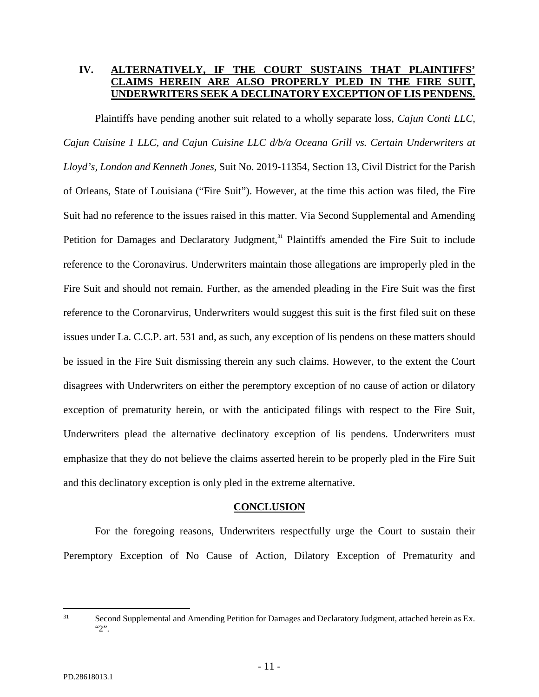# **IV. ALTERNATIVELY, IF THE COURT SUSTAINS THAT PLAINTIFFS' AIMS HEREIN ARE ALSO PROPERLY UNDERWRITERS SEEK A DECLINATORY EXCEPTION OF LIS PENDENS.**

Plaintiffs have pending another suit related to a wholly separate loss, *Cajun Conti LLC, Cajun Cuisine 1 LLC, and Cajun Cuisine LLC d/b/a Oceana Grill vs. Certain Underwriters at Lloyd's, London and Kenneth Jones,* Suit No. 2019-11354, Section 13, Civil District for the Parish of Orleans, State of Louisiana ("Fire Suit"). However, at the time this action was filed, the Fire Suit had no reference to the issues raised in this matter. Via Second Supplemental and Amending Petition for Damages and Declaratory Judgment,<sup>[31](#page-10-0)</sup> Plaintiffs amended the Fire Suit to include reference to the Coronavirus. Underwriters maintain those allegations are improperly pled in the Fire Suit and should not remain. Further, as the amended pleading in the Fire Suit was the first reference to the Coronarvirus, Underwriters would suggest this suit is the first filed suit on these issues under La. C.C.P. art. 531 and, as such, any exception of lis pendens on these matters should be issued in the Fire Suit dismissing therein any such claims. However, to the extent the Court disagrees with Underwriters on either the peremptory exception of no cause of action or dilatory exception of prematurity herein, or with the anticipated filings with respect to the Fire Suit, Underwriters plead the alternative declinatory exception of lis pendens. Underwriters must emphasize that they do not believe the claims asserted herein to be properly pled in the Fire Suit and this declinatory exception is only pled in the extreme alternative.

## **CONCLUSION**

For the foregoing reasons, Underwriters respectfully urge the Court to sustain their Peremptory Exception of No Cause of Action, Dilatory Exception of Prematurity and

<span id="page-10-0"></span><sup>&</sup>lt;sup>31</sup> Second Supplemental and Amending Petition for Damages and Declaratory Judgment, attached herein as Ex. "2".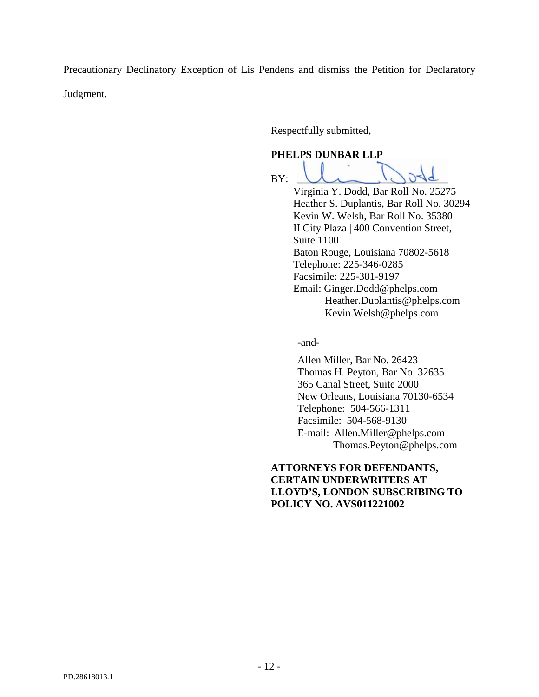Precautionary Declinatory Exception of Lis Pendens and dismiss the Petition for Declaratory Judgment.

Respectfully submitted,

# **PHELPS DUNBAR LLP**

BY:

Virginia Y. Dodd, Bar Roll No. 25275 Heather S. Duplantis, Bar Roll No. 30294 Kevin W. Welsh, Bar Roll No. 35380 II City Plaza | 400 Convention Street, Suite 1100 Baton Rouge, Louisiana 70802-5618 Telephone: 225-346-0285 Facsimile: 225-381-9197 Email: Ginger.Dodd@phelps.com Heather.Duplantis@phelps.com Kevin.Welsh@phelps.com

-and-

Allen Miller, Bar No. 26423 Thomas H. Peyton, Bar No. 32635 365 Canal Street, Suite 2000 New Orleans, Louisiana 70130-6534 Telephone: 504-566-1311 Facsimile: 504-568-9130 E-mail: Allen.Miller@phelps.com Thomas.Peyton@phelps.com

**ATTORNEYS FOR DEFENDANTS, CERTAIN UNDERWRITERS AT LLOYD'S, LONDON SUBSCRIBING TO POLICY NO. AVS011221002**